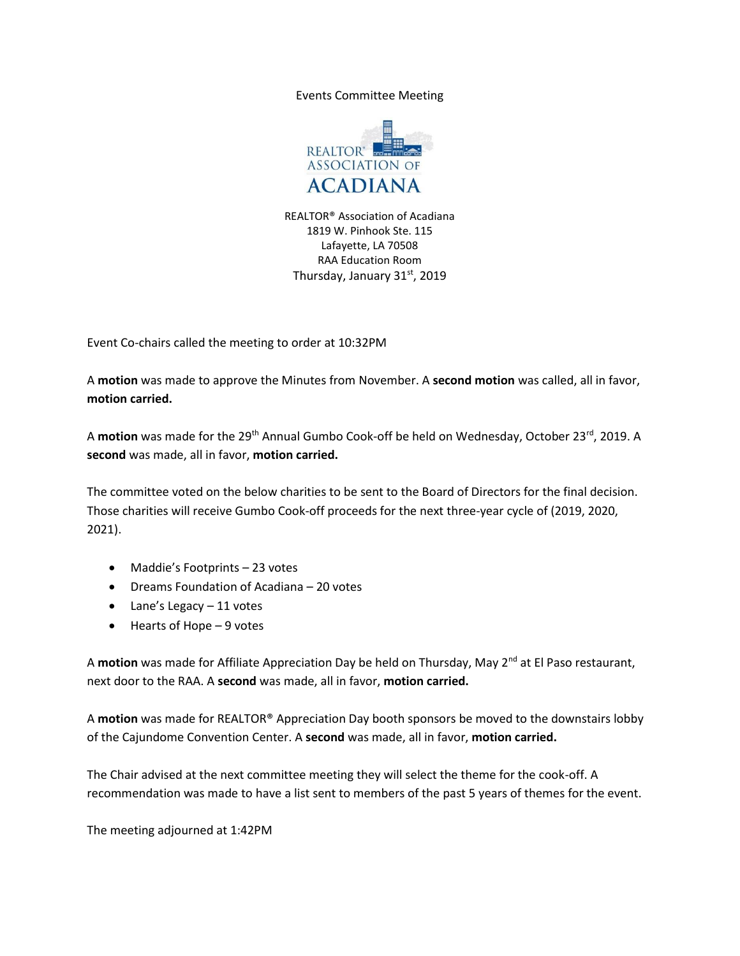Events Committee Meeting



REALTOR® Association of Acadiana 1819 W. Pinhook Ste. 115 Lafayette, LA 70508 RAA Education Room Thursday, January 31st, 2019

Event Co-chairs called the meeting to order at 10:32PM

A **motion** was made to approve the Minutes from November. A **second motion** was called, all in favor, **motion carried.**

A **motion** was made for the 29<sup>th</sup> Annual Gumbo Cook-off be held on Wednesday, October 23<sup>rd</sup>, 2019. A **second** was made, all in favor, **motion carried.**

The committee voted on the below charities to be sent to the Board of Directors for the final decision. Those charities will receive Gumbo Cook-off proceeds for the next three-year cycle of (2019, 2020, 2021).

- Maddie's Footprints 23 votes
- Dreams Foundation of Acadiana 20 votes
- $\bullet$  Lane's Legacy  $-11$  votes
- $\bullet$  Hearts of Hope  $-9$  votes

A motion was made for Affiliate Appreciation Day be held on Thursday, May 2<sup>nd</sup> at El Paso restaurant, next door to the RAA. A **second** was made, all in favor, **motion carried.**

A **motion** was made for REALTOR® Appreciation Day booth sponsors be moved to the downstairs lobby of the Cajundome Convention Center. A **second** was made, all in favor, **motion carried.**

The Chair advised at the next committee meeting they will select the theme for the cook-off. A recommendation was made to have a list sent to members of the past 5 years of themes for the event.

The meeting adjourned at 1:42PM